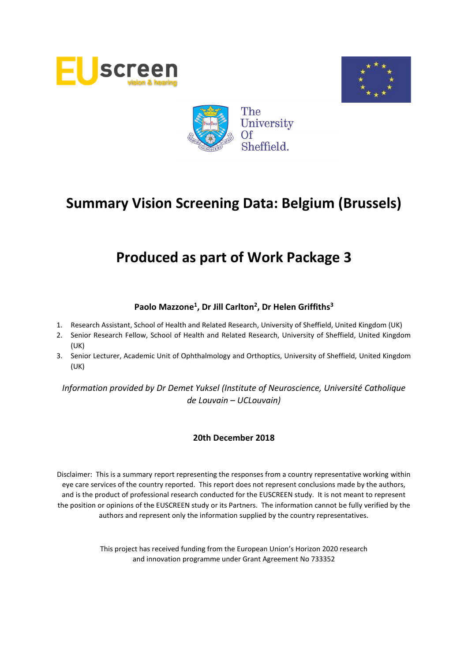





# **Produced as part of Work Package 3**

# **Paolo Mazzone<sup>1</sup> , Dr Jill Carlton<sup>2</sup> , Dr Helen Griffiths<sup>3</sup>**

- 1. Research Assistant, School of Health and Related Research, University of Sheffield, United Kingdom (UK)
- 2. Senior Research Fellow, School of Health and Related Research, University of Sheffield, United Kingdom (UK)
- 3. Senior Lecturer, Academic Unit of Ophthalmology and Orthoptics, University of Sheffield, United Kingdom (UK)

*Information provided by Dr Demet Yuksel (Institute of Neuroscience, Université Catholique de Louvain – UCLouvain)*

# **20th December 2018**

Disclaimer: This is a summary report representing the responses from a country representative working within eye care services of the country reported. This report does not represent conclusions made by the authors, and is the product of professional research conducted for the EUSCREEN study. It is not meant to represent the position or opinions of the EUSCREEN study or its Partners. The information cannot be fully verified by the authors and represent only the information supplied by the country representatives.

> This project has received funding from the European Union's Horizon 2020 research and innovation programme under Grant Agreement No 733352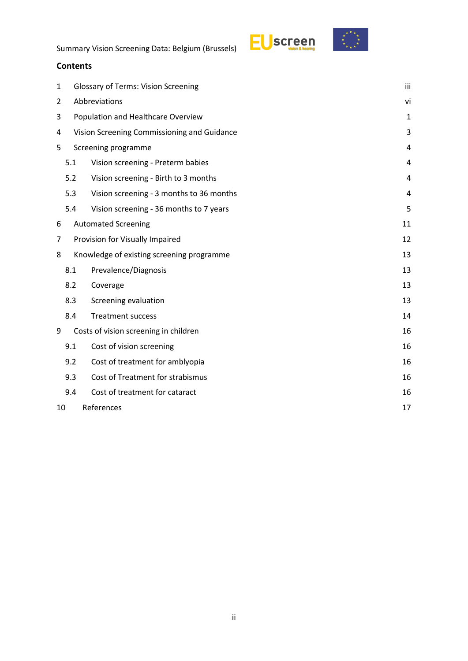

# **Contents**

| 1  | <b>Glossary of Terms: Vision Screening</b> |                                             |    |  |  |  |  |  |  |  |
|----|--------------------------------------------|---------------------------------------------|----|--|--|--|--|--|--|--|
| 2  |                                            | Abbreviations<br>vi                         |    |  |  |  |  |  |  |  |
| 3  |                                            | Population and Healthcare Overview          |    |  |  |  |  |  |  |  |
| 4  |                                            | Vision Screening Commissioning and Guidance | 3  |  |  |  |  |  |  |  |
| 5  |                                            | Screening programme                         | 4  |  |  |  |  |  |  |  |
|    | 5.1                                        | Vision screening - Preterm babies           | 4  |  |  |  |  |  |  |  |
|    | 5.2                                        | Vision screening - Birth to 3 months        | 4  |  |  |  |  |  |  |  |
|    | 5.3                                        | Vision screening - 3 months to 36 months    | 4  |  |  |  |  |  |  |  |
|    | 5.4                                        | Vision screening - 36 months to 7 years     | 5  |  |  |  |  |  |  |  |
| 6  |                                            | <b>Automated Screening</b>                  | 11 |  |  |  |  |  |  |  |
| 7  |                                            | Provision for Visually Impaired             | 12 |  |  |  |  |  |  |  |
| 8  |                                            | Knowledge of existing screening programme   | 13 |  |  |  |  |  |  |  |
|    | 8.1                                        | Prevalence/Diagnosis                        | 13 |  |  |  |  |  |  |  |
|    | 8.2                                        | Coverage                                    | 13 |  |  |  |  |  |  |  |
|    | 8.3                                        | Screening evaluation                        | 13 |  |  |  |  |  |  |  |
|    | 8.4                                        | <b>Treatment success</b>                    | 14 |  |  |  |  |  |  |  |
| 9  |                                            | Costs of vision screening in children       | 16 |  |  |  |  |  |  |  |
|    | 9.1                                        | Cost of vision screening                    | 16 |  |  |  |  |  |  |  |
|    | 9.2                                        | Cost of treatment for amblyopia             | 16 |  |  |  |  |  |  |  |
|    | 9.3                                        | Cost of Treatment for strabismus            | 16 |  |  |  |  |  |  |  |
|    | 9.4                                        | Cost of treatment for cataract              | 16 |  |  |  |  |  |  |  |
| 10 |                                            | References<br>17                            |    |  |  |  |  |  |  |  |
|    |                                            |                                             |    |  |  |  |  |  |  |  |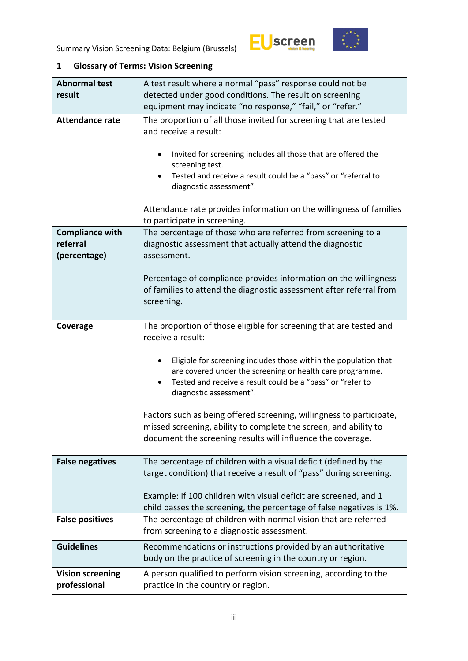



# <span id="page-2-0"></span>**1 Glossary of Terms: Vision Screening**

| <b>Abnormal test</b>                               | A test result where a normal "pass" response could not be                                                                                                                                                              |  |  |  |  |  |
|----------------------------------------------------|------------------------------------------------------------------------------------------------------------------------------------------------------------------------------------------------------------------------|--|--|--|--|--|
| result                                             | detected under good conditions. The result on screening                                                                                                                                                                |  |  |  |  |  |
|                                                    | equipment may indicate "no response," "fail," or "refer."                                                                                                                                                              |  |  |  |  |  |
| <b>Attendance rate</b>                             | The proportion of all those invited for screening that are tested<br>and receive a result:                                                                                                                             |  |  |  |  |  |
|                                                    | Invited for screening includes all those that are offered the<br>screening test.<br>Tested and receive a result could be a "pass" or "referral to<br>diagnostic assessment".                                           |  |  |  |  |  |
|                                                    | Attendance rate provides information on the willingness of families<br>to participate in screening.                                                                                                                    |  |  |  |  |  |
| <b>Compliance with</b><br>referral<br>(percentage) | The percentage of those who are referred from screening to a<br>diagnostic assessment that actually attend the diagnostic<br>assessment.                                                                               |  |  |  |  |  |
|                                                    | Percentage of compliance provides information on the willingness<br>of families to attend the diagnostic assessment after referral from<br>screening.                                                                  |  |  |  |  |  |
| Coverage                                           | The proportion of those eligible for screening that are tested and<br>receive a result:                                                                                                                                |  |  |  |  |  |
|                                                    | Eligible for screening includes those within the population that<br>are covered under the screening or health care programme.<br>Tested and receive a result could be a "pass" or "refer to<br>diagnostic assessment". |  |  |  |  |  |
|                                                    | Factors such as being offered screening, willingness to participate,<br>missed screening, ability to complete the screen, and ability to<br>document the screening results will influence the coverage.                |  |  |  |  |  |
| <b>False negatives</b>                             | The percentage of children with a visual deficit (defined by the<br>target condition) that receive a result of "pass" during screening.                                                                                |  |  |  |  |  |
|                                                    | Example: If 100 children with visual deficit are screened, and 1<br>child passes the screening, the percentage of false negatives is 1%.                                                                               |  |  |  |  |  |
| <b>False positives</b>                             | The percentage of children with normal vision that are referred<br>from screening to a diagnostic assessment.                                                                                                          |  |  |  |  |  |
| <b>Guidelines</b>                                  | Recommendations or instructions provided by an authoritative<br>body on the practice of screening in the country or region.                                                                                            |  |  |  |  |  |
| <b>Vision screening</b><br>professional            | A person qualified to perform vision screening, according to the<br>practice in the country or region.                                                                                                                 |  |  |  |  |  |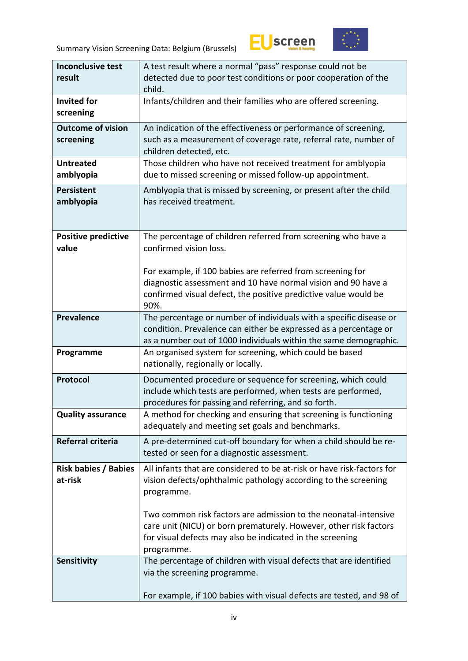



| <b>Inconclusive test</b>    | A test result where a normal "pass" response could not be              |
|-----------------------------|------------------------------------------------------------------------|
| result                      | detected due to poor test conditions or poor cooperation of the        |
|                             | child.                                                                 |
| <b>Invited for</b>          | Infants/children and their families who are offered screening.         |
| screening                   |                                                                        |
| <b>Outcome of vision</b>    | An indication of the effectiveness or performance of screening,        |
| screening                   | such as a measurement of coverage rate, referral rate, number of       |
|                             | children detected, etc.                                                |
| <b>Untreated</b>            | Those children who have not received treatment for amblyopia           |
| amblyopia                   | due to missed screening or missed follow-up appointment.               |
|                             |                                                                        |
| <b>Persistent</b>           | Amblyopia that is missed by screening, or present after the child      |
| amblyopia                   | has received treatment.                                                |
|                             |                                                                        |
|                             |                                                                        |
| <b>Positive predictive</b>  | The percentage of children referred from screening who have a          |
| value                       | confirmed vision loss.                                                 |
|                             |                                                                        |
|                             | For example, if 100 babies are referred from screening for             |
|                             | diagnostic assessment and 10 have normal vision and 90 have a          |
|                             | confirmed visual defect, the positive predictive value would be        |
|                             | 90%.                                                                   |
| <b>Prevalence</b>           | The percentage or number of individuals with a specific disease or     |
|                             | condition. Prevalence can either be expressed as a percentage or       |
|                             | as a number out of 1000 individuals within the same demographic.       |
| Programme                   | An organised system for screening, which could be based                |
|                             | nationally, regionally or locally.                                     |
| Protocol                    | Documented procedure or sequence for screening, which could            |
|                             | include which tests are performed, when tests are performed,           |
|                             | procedures for passing and referring, and so forth.                    |
| <b>Quality assurance</b>    | A method for checking and ensuring that screening is functioning       |
|                             | adequately and meeting set goals and benchmarks.                       |
| Referral criteria           | A pre-determined cut-off boundary for when a child should be re-       |
|                             | tested or seen for a diagnostic assessment.                            |
|                             |                                                                        |
| <b>Risk babies / Babies</b> | All infants that are considered to be at-risk or have risk-factors for |
| at-risk                     | vision defects/ophthalmic pathology according to the screening         |
|                             | programme.                                                             |
|                             |                                                                        |
|                             | Two common risk factors are admission to the neonatal-intensive        |
|                             | care unit (NICU) or born prematurely. However, other risk factors      |
|                             | for visual defects may also be indicated in the screening              |
|                             | programme.                                                             |
| Sensitivity                 | The percentage of children with visual defects that are identified     |
|                             | via the screening programme.                                           |
|                             |                                                                        |
|                             | For example, if 100 babies with visual defects are tested, and 98 of   |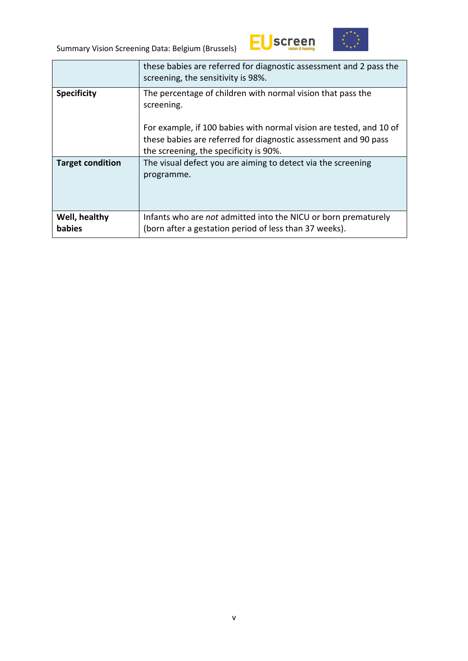



|                         | these babies are referred for diagnostic assessment and 2 pass the<br>screening, the sensitivity is 98%.                                                                         |
|-------------------------|----------------------------------------------------------------------------------------------------------------------------------------------------------------------------------|
| <b>Specificity</b>      | The percentage of children with normal vision that pass the<br>screening.                                                                                                        |
|                         | For example, if 100 babies with normal vision are tested, and 10 of<br>these babies are referred for diagnostic assessment and 90 pass<br>the screening, the specificity is 90%. |
| <b>Target condition</b> | The visual defect you are aiming to detect via the screening<br>programme.                                                                                                       |
| Well, healthy<br>babies | Infants who are <i>not</i> admitted into the NICU or born prematurely<br>(born after a gestation period of less than 37 weeks).                                                  |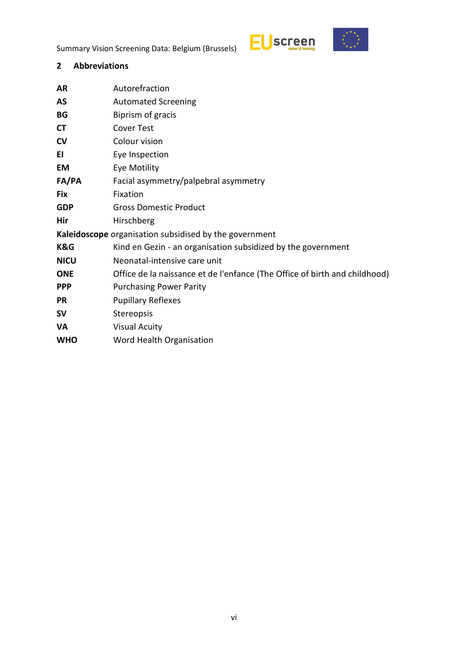



# <span id="page-5-0"></span>**2 Abbreviations**

| AR          | Autorefraction                                                             |
|-------------|----------------------------------------------------------------------------|
| AS          | <b>Automated Screening</b>                                                 |
| BG          | Biprism of gracis                                                          |
| <b>CT</b>   | <b>Cover Test</b>                                                          |
| CV          | Colour vision                                                              |
| EI          | Eye Inspection                                                             |
| <b>EM</b>   | Eye Motility                                                               |
| FA/PA       | Facial asymmetry/palpebral asymmetry                                       |
| Fix         | Fixation                                                                   |
| <b>GDP</b>  | <b>Gross Domestic Product</b>                                              |
| Hir         | Hirschberg                                                                 |
|             | Kaleidoscope organisation subsidised by the government                     |
| K&G         | Kind en Gezin - an organisation subsidized by the government               |
| <b>NICU</b> | Neonatal-intensive care unit                                               |
| <b>ONE</b>  | Office de la naissance et de l'enfance (The Office of birth and childhood) |
| <b>PPP</b>  | <b>Purchasing Power Parity</b>                                             |
| <b>PR</b>   | <b>Pupillary Reflexes</b>                                                  |
| <b>SV</b>   | Stereopsis                                                                 |
| VA          | <b>Visual Acuity</b>                                                       |
| <b>WHO</b>  | Word Health Organisation                                                   |
|             |                                                                            |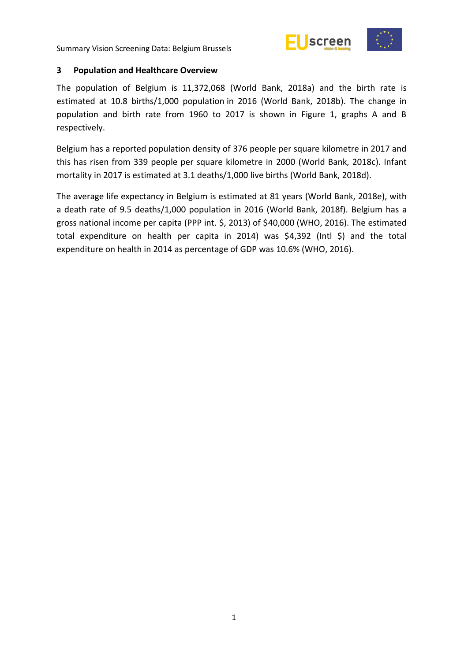



#### <span id="page-6-0"></span>**3 Population and Healthcare Overview**

The population of Belgium is 11,372,068 (World Bank, 2018a) and the birth rate is estimated at 10.8 births/1,000 population in 2016 (World Bank, 2018b). The change in population and birth rate from 1960 to 2017 is shown in Figure 1, graphs A and B respectively.

Belgium has a reported population density of 376 people per square kilometre in 2017 and this has risen from 339 people per square kilometre in 2000 (World Bank, 2018c). Infant mortality in 2017 is estimated at 3.1 deaths/1,000 live births (World Bank, 2018d).

The average life expectancy in Belgium is estimated at 81 years (World Bank, 2018e), with a death rate of 9.5 deaths/1,000 population in 2016 (World Bank, 2018f). Belgium has a gross national income per capita (PPP int. \$, 2013) of \$40,000 (WHO, 2016). The estimated total expenditure on health per capita in 2014) was \$4,392 (Intl \$) and the total expenditure on health in 2014 as percentage of GDP was 10.6% (WHO, 2016).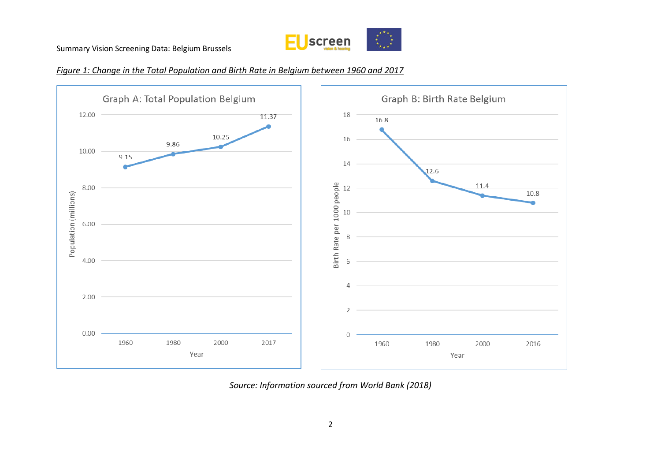





*Source: Information sourced from World Bank (2018)*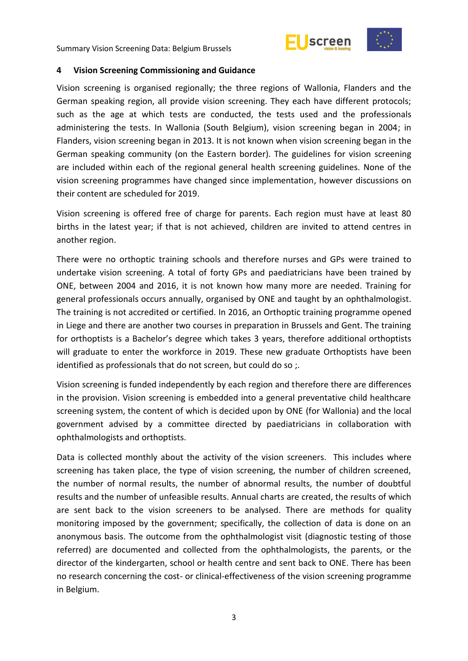



#### <span id="page-8-0"></span>**4 Vision Screening Commissioning and Guidance**

Vision screening is organised regionally; the three regions of Wallonia, Flanders and the German speaking region, all provide vision screening. They each have different protocols; such as the age at which tests are conducted, the tests used and the professionals administering the tests. In Wallonia (South Belgium), vision screening began in 2004; in Flanders, vision screening began in 2013. It is not known when vision screening began in the German speaking community (on the Eastern border). The guidelines for vision screening are included within each of the regional general health screening guidelines. None of the vision screening programmes have changed since implementation, however discussions on their content are scheduled for 2019.

Vision screening is offered free of charge for parents. Each region must have at least 80 births in the latest year; if that is not achieved, children are invited to attend centres in another region.

There were no orthoptic training schools and therefore nurses and GPs were trained to undertake vision screening. A total of forty GPs and paediatricians have been trained by ONE, between 2004 and 2016, it is not known how many more are needed. Training for general professionals occurs annually, organised by ONE and taught by an ophthalmologist. The training is not accredited or certified. In 2016, an Orthoptic training programme opened in Liege and there are another two courses in preparation in Brussels and Gent. The training for orthoptists is a Bachelor's degree which takes 3 years, therefore additional orthoptists will graduate to enter the workforce in 2019. These new graduate Orthoptists have been identified as professionals that do not screen, but could do so ;.

Vision screening is funded independently by each region and therefore there are differences in the provision. Vision screening is embedded into a general preventative child healthcare screening system, the content of which is decided upon by ONE (for Wallonia) and the local government advised by a committee directed by paediatricians in collaboration with ophthalmologists and orthoptists.

Data is collected monthly about the activity of the vision screeners. This includes where screening has taken place, the type of vision screening, the number of children screened, the number of normal results, the number of abnormal results, the number of doubtful results and the number of unfeasible results. Annual charts are created, the results of which are sent back to the vision screeners to be analysed. There are methods for quality monitoring imposed by the government; specifically, the collection of data is done on an anonymous basis. The outcome from the ophthalmologist visit (diagnostic testing of those referred) are documented and collected from the ophthalmologists, the parents, or the director of the kindergarten, school or health centre and sent back to ONE. There has been no research concerning the cost- or clinical-effectiveness of the vision screening programme in Belgium.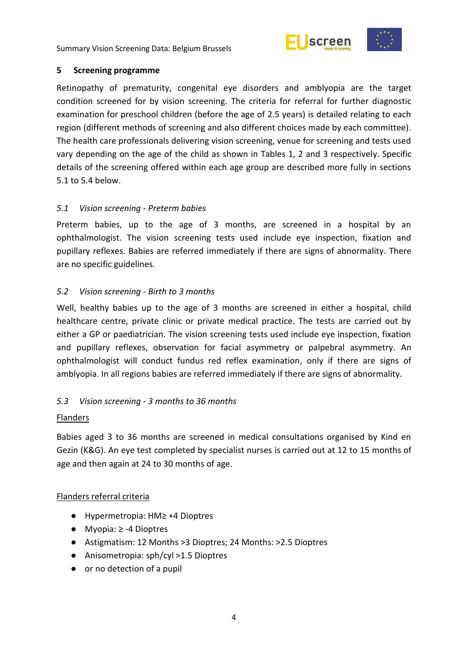



# <span id="page-9-0"></span>**5 Screening programme**

Retinopathy of prematurity, congenital eye disorders and amblyopia are the target condition screened for by vision screening. The criteria for referral for further diagnostic examination for preschool children (before the age of 2.5 years) is detailed relating to each region (different methods of screening and also different choices made by each committee). The health care professionals delivering vision screening, venue for screening and tests used vary depending on the age of the child as shown in Tables 1, 2 and 3 respectively. Specific details of the screening offered within each age group are described more fully in sections 5.1 to 5.4 below.

# <span id="page-9-1"></span>*5.1 Vision screening - Preterm babies*

Preterm babies, up to the age of 3 months, are screened in a hospital by an ophthalmologist. The vision screening tests used include eye inspection, fixation and pupillary reflexes. Babies are referred immediately if there are signs of abnormality. There are no specific guidelines.

# <span id="page-9-2"></span>*5.2 Vision screening - Birth to 3 months*

Well, healthy babies up to the age of 3 months are screened in either a hospital, child healthcare centre, private clinic or private medical practice. The tests are carried out by either a GP or paediatrician. The vision screening tests used include eye inspection, fixation and pupillary reflexes, observation for facial asymmetry or palpebral asymmetry. An ophthalmologist will conduct fundus red reflex examination, only if there are signs of amblyopia. In all regions babies are referred immediately if there are signs of abnormality.

# <span id="page-9-3"></span>*5.3 Vision screening - 3 months to 36 months*

# Flanders

Babies aged 3 to 36 months are screened in medical consultations organised by Kind en Gezin (K&G). An eye test completed by specialist nurses is carried out at 12 to 15 months of age and then again at 24 to 30 months of age.

# Flanders referral criteria

- Hypermetropia: HM≥ +4 Dioptres
- Myopia: ≥ -4 Dioptres
- Astigmatism: 12 Months >3 Dioptres; 24 Months: >2.5 Dioptres
- Anisometropia: sph/cyl >1.5 Dioptres
- or no detection of a pupil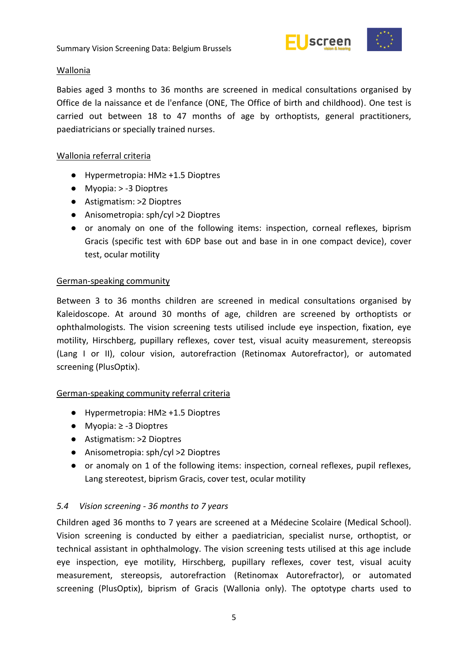

### Wallonia

Babies aged 3 months to 36 months are screened in medical consultations organised by Office de la naissance et de l'enfance (ONE, The Office of birth and childhood). One test is carried out between 18 to 47 months of age by orthoptists, general practitioners, paediatricians or specially trained nurses.

## Wallonia referral criteria

- Hypermetropia: HM≥ +1.5 Dioptres
- Myopia: > -3 Dioptres
- Astigmatism: >2 Dioptres
- Anisometropia: sph/cyl >2 Dioptres
- or anomaly on one of the following items: inspection, corneal reflexes, biprism Gracis (specific test with 6DP base out and base in in one compact device), cover test, ocular motility

### German-speaking community

Between 3 to 36 months children are screened in medical consultations organised by Kaleidoscope. At around 30 months of age, children are screened by orthoptists or ophthalmologists. The vision screening tests utilised include eye inspection, fixation, eye motility, Hirschberg, pupillary reflexes, cover test, visual acuity measurement, stereopsis (Lang I or II), colour vision, autorefraction (Retinomax Autorefractor), or automated screening (PlusOptix).

# German-speaking community referral criteria

- Hypermetropia: HM≥ +1.5 Dioptres
- Myopia: ≥ -3 Dioptres
- Astigmatism: >2 Dioptres
- Anisometropia: sph/cyl >2 Dioptres
- or anomaly on 1 of the following items: inspection, corneal reflexes, pupil reflexes, Lang stereotest, biprism Gracis, cover test, ocular motility

# <span id="page-10-0"></span>*5.4 Vision screening - 36 months to 7 years*

Children aged 36 months to 7 years are screened at a Médecine Scolaire (Medical School). Vision screening is conducted by either a paediatrician, specialist nurse, orthoptist, or technical assistant in ophthalmology. The vision screening tests utilised at this age include eye inspection, eye motility, Hirschberg, pupillary reflexes, cover test, visual acuity measurement, stereopsis, autorefraction (Retinomax Autorefractor), or automated screening (PlusOptix), biprism of Gracis (Wallonia only). The optotype charts used to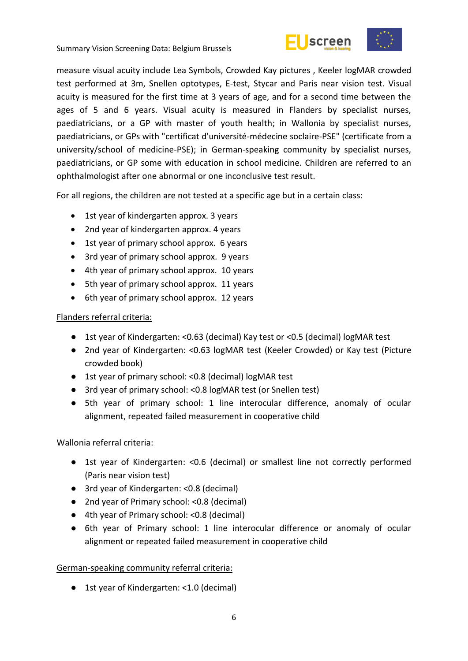



measure visual acuity include Lea Symbols, Crowded Kay pictures , Keeler logMAR crowded test performed at 3m, Snellen optotypes, E-test, Stycar and Paris near vision test. Visual acuity is measured for the first time at 3 years of age, and for a second time between the ages of 5 and 6 years. Visual acuity is measured in Flanders by specialist nurses, paediatricians, or a GP with master of youth health; in Wallonia by specialist nurses, paediatricians, or GPs with "certificat d'université-médecine soclaire-PSE" (certificate from a university/school of medicine-PSE); in German-speaking community by specialist nurses, paediatricians, or GP some with education in school medicine. Children are referred to an ophthalmologist after one abnormal or one inconclusive test result.

For all regions, the children are not tested at a specific age but in a certain class:

- 1st year of kindergarten approx. 3 years
- 2nd year of kindergarten approx. 4 years
- 1st year of primary school approx. 6 years
- 3rd year of primary school approx. 9 years
- 4th year of primary school approx. 10 years
- 5th year of primary school approx. 11 years
- 6th year of primary school approx. 12 years

### Flanders referral criteria:

- 1st year of Kindergarten: <0.63 (decimal) Kay test or <0.5 (decimal) logMAR test
- 2nd year of Kindergarten: <0.63 logMAR test (Keeler Crowded) or Kay test (Picture crowded book)
- 1st year of primary school: <0.8 (decimal) logMAR test
- 3rd year of primary school: <0.8 logMAR test (or Snellen test)
- 5th year of primary school: 1 line interocular difference, anomaly of ocular alignment, repeated failed measurement in cooperative child

# Wallonia referral criteria:

- 1st year of Kindergarten: <0.6 (decimal) or smallest line not correctly performed (Paris near vision test)
- 3rd year of Kindergarten: <0.8 (decimal)
- 2nd year of Primary school: <0.8 (decimal)
- 4th year of Primary school: <0.8 (decimal)
- 6th year of Primary school: 1 line interocular difference or anomaly of ocular alignment or repeated failed measurement in cooperative child

#### German-speaking community referral criteria:

● 1st year of Kindergarten: <1.0 (decimal)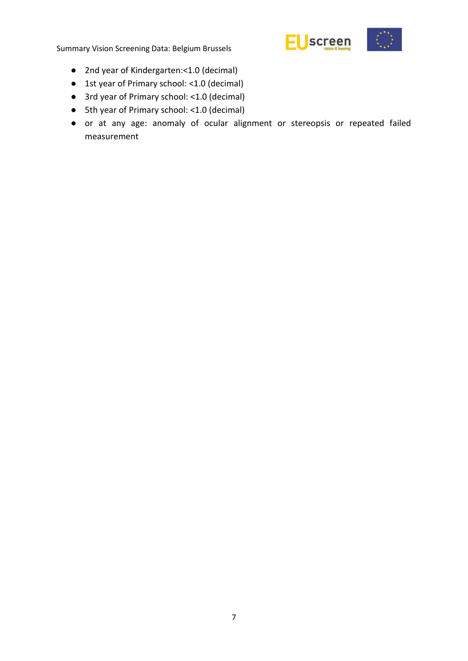

- 2nd year of Kindergarten:<1.0 (decimal)
- 1st year of Primary school: <1.0 (decimal)
- 3rd year of Primary school: <1.0 (decimal)
- 5th year of Primary school: <1.0 (decimal)
- or at any age: anomaly of ocular alignment or stereopsis or repeated failed measurement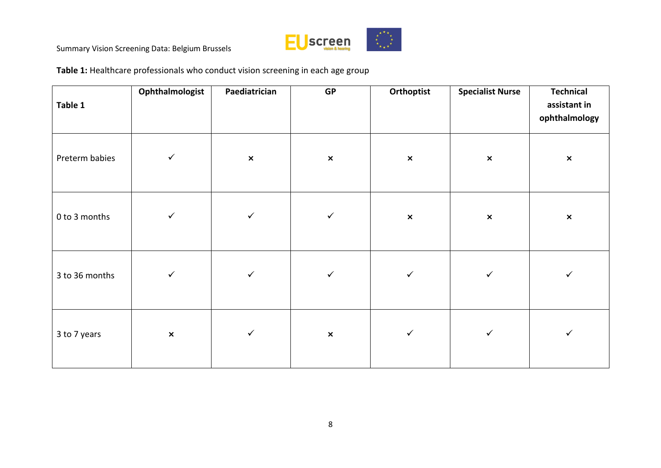

**Table 1:** Healthcare professionals who conduct vision screening in each age group

| Table 1        | Ophthalmologist | Paediatrician  | <b>GP</b>      | Orthoptist     | <b>Specialist Nurse</b> | <b>Technical</b><br>assistant in<br>ophthalmology |
|----------------|-----------------|----------------|----------------|----------------|-------------------------|---------------------------------------------------|
| Preterm babies | $\checkmark$    | $\pmb{\times}$ | $\pmb{\times}$ | $\pmb{\times}$ | $\pmb{\times}$          | $\pmb{\times}$                                    |
| 0 to 3 months  | $\checkmark$    | $\checkmark$   | $\checkmark$   | $\pmb{\times}$ | $\pmb{\times}$          | $\pmb{\times}$                                    |
| 3 to 36 months | $\checkmark$    | $\checkmark$   | $\checkmark$   | ✓              | $\checkmark$            | $\checkmark$                                      |
| 3 to 7 years   | $\pmb{\times}$  | $\checkmark$   | $\pmb{\times}$ | $\checkmark$   | $\checkmark$            | $\checkmark$                                      |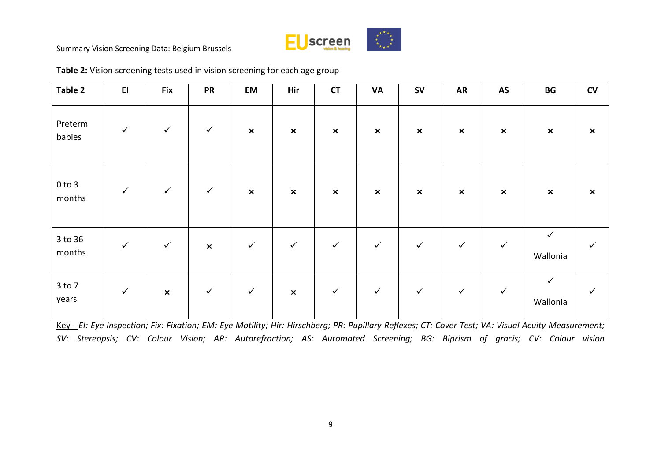

| Table 2              | E1           | <b>Fix</b>     | <b>PR</b>      | EM                        | Hir            | <b>CT</b>      | <b>VA</b>                 | <b>SV</b>                 | <b>AR</b>                 | AS                        | $\mathbf{B}\mathbf{G}$   | $\mathsf{cv}$             |
|----------------------|--------------|----------------|----------------|---------------------------|----------------|----------------|---------------------------|---------------------------|---------------------------|---------------------------|--------------------------|---------------------------|
| Preterm<br>babies    | $\checkmark$ | $\checkmark$   | $\checkmark$   | $\pmb{\times}$            | $\pmb{\times}$ | $\pmb{\times}$ | $\boldsymbol{\mathsf{x}}$ | $\pmb{\times}$            | $\boldsymbol{\mathsf{x}}$ | $\pmb{\times}$            | $\pmb{\times}$           | $\boldsymbol{\mathsf{x}}$ |
| $0$ to $3$<br>months | $\checkmark$ | $\checkmark$   | $\checkmark$   | $\boldsymbol{\mathsf{x}}$ | $\pmb{\times}$ | $\pmb{\times}$ | $\pmb{\times}$            | $\boldsymbol{\mathsf{x}}$ | $\pmb{\times}$            | $\boldsymbol{\mathsf{x}}$ | $\pmb{\times}$           | $\boldsymbol{\mathsf{x}}$ |
| 3 to 36<br>months    | $\checkmark$ | $\checkmark$   | $\pmb{\times}$ | $\checkmark$              | $\checkmark$   | $\checkmark$   | $\checkmark$              | $\checkmark$              | $\checkmark$              | $\checkmark$              | $\checkmark$<br>Wallonia | $\checkmark$              |
| 3 to 7<br>years      | $\checkmark$ | $\pmb{\times}$ | $\checkmark$   | $\checkmark$              | $\pmb{\times}$ | $\checkmark$   | $\checkmark$              | $\checkmark$              | $\checkmark$              | $\checkmark$              | $\checkmark$<br>Wallonia | $\checkmark$              |

**Table 2:** Vision screening tests used in vision screening for each age group

Key - *EI: Eye Inspection; Fix: Fixation; EM: Eye Motility; Hir: Hirschberg; PR: Pupillary Reflexes; CT: Cover Test; VA: Visual Acuity Measurement; SV: Stereopsis; CV: Colour Vision; AR: Autorefraction; AS: Automated Screening; BG: Biprism of gracis; CV: Colour vision*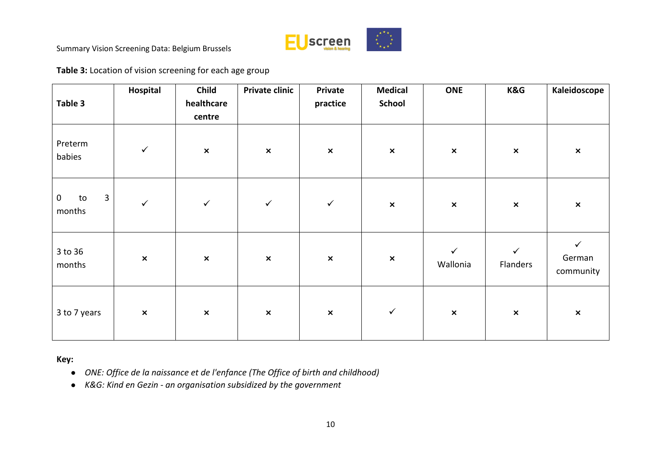

**Table 3:** Location of vision screening for each age group

| Table 3                                            | Hospital       | Child<br>healthcare<br>centre | Private clinic | Private<br>practice | <b>Medical</b><br><b>School</b> | <b>ONE</b>               | K&G                      | Kaleidoscope                        |
|----------------------------------------------------|----------------|-------------------------------|----------------|---------------------|---------------------------------|--------------------------|--------------------------|-------------------------------------|
| Preterm<br>babies                                  | $\checkmark$   | $\pmb{\times}$                | $\pmb{\times}$ | $\pmb{\times}$      | $\pmb{\times}$                  | $\pmb{\times}$           | $\pmb{\times}$           | $\pmb{\times}$                      |
| $\overline{3}$<br>$\boldsymbol{0}$<br>to<br>months | $\checkmark$   | $\checkmark$                  | $\checkmark$   | $\checkmark$        | $\pmb{\times}$                  | $\pmb{\times}$           | $\pmb{\times}$           | $\pmb{\times}$                      |
| 3 to 36<br>months                                  | $\pmb{\times}$ | $\pmb{\times}$                | $\pmb{\times}$ | $\pmb{\times}$      | $\pmb{\times}$                  | $\checkmark$<br>Wallonia | $\checkmark$<br>Flanders | $\checkmark$<br>German<br>community |
| 3 to 7 years                                       | $\pmb{\times}$ | $\pmb{\times}$                | $\pmb{\times}$ | $\pmb{\times}$      | $\checkmark$                    | $\pmb{\times}$           | $\pmb{\times}$           | $\pmb{\times}$                      |

**Key:**

- *ONE: Office de la naissance et de l'enfance (The Office of birth and childhood)*
- *K&G: Kind en Gezin - an organisation subsidized by the government*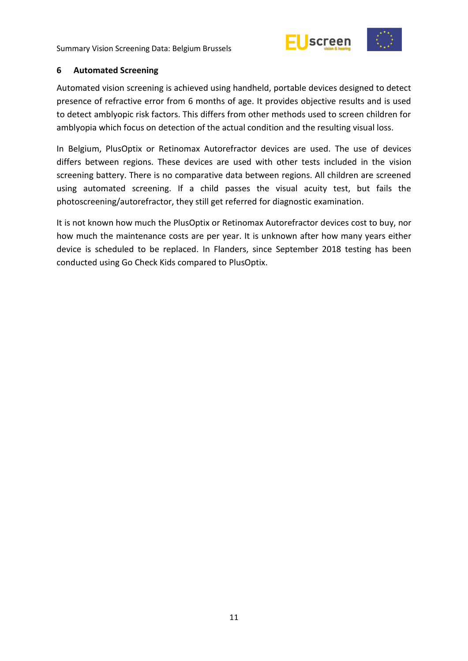



#### <span id="page-16-0"></span>**6 Automated Screening**

Automated vision screening is achieved using handheld, portable devices designed to detect presence of refractive error from 6 months of age. It provides objective results and is used to detect amblyopic risk factors. This differs from other methods used to screen children for amblyopia which focus on detection of the actual condition and the resulting visual loss.

In Belgium, PlusOptix or Retinomax Autorefractor devices are used. The use of devices differs between regions. These devices are used with other tests included in the vision screening battery. There is no comparative data between regions. All children are screened using automated screening. If a child passes the visual acuity test, but fails the photoscreening/autorefractor, they still get referred for diagnostic examination.

It is not known how much the PlusOptix or Retinomax Autorefractor devices cost to buy, nor how much the maintenance costs are per year. It is unknown after how many years either device is scheduled to be replaced. In Flanders, since September 2018 testing has been conducted using Go Check Kids compared to PlusOptix.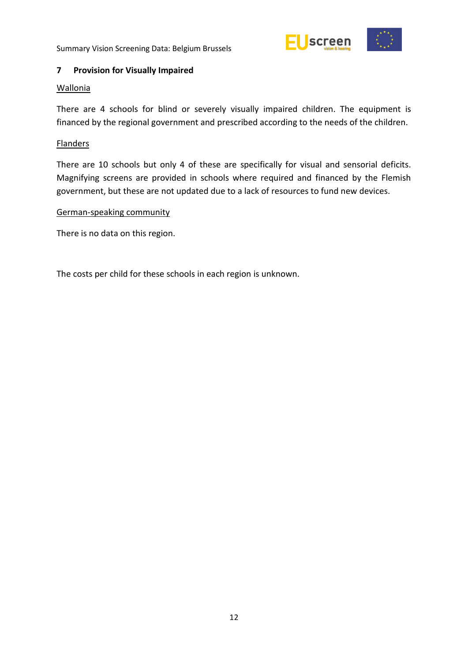

# <span id="page-17-0"></span>**7 Provision for Visually Impaired**

### Wallonia

There are 4 schools for blind or severely visually impaired children. The equipment is financed by the regional government and prescribed according to the needs of the children.

## Flanders

There are 10 schools but only 4 of these are specifically for visual and sensorial deficits. Magnifying screens are provided in schools where required and financed by the Flemish government, but these are not updated due to a lack of resources to fund new devices.

#### German-speaking community

There is no data on this region.

The costs per child for these schools in each region is unknown.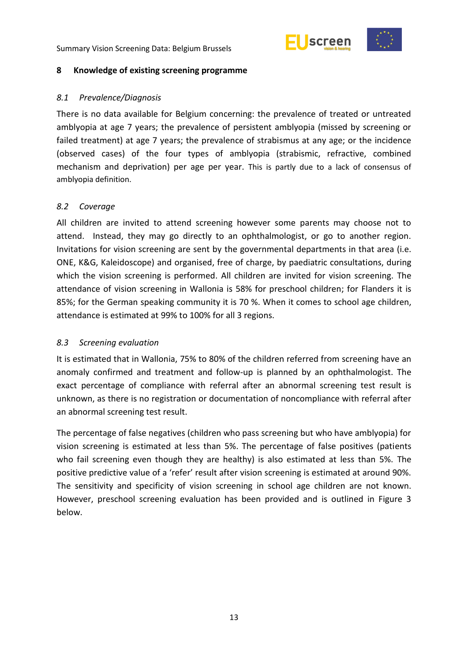



#### <span id="page-18-0"></span>**8 Knowledge of existing screening programme**

#### <span id="page-18-1"></span>*8.1 Prevalence/Diagnosis*

There is no data available for Belgium concerning: the prevalence of treated or untreated amblyopia at age 7 years; the prevalence of persistent amblyopia (missed by screening or failed treatment) at age 7 years; the prevalence of strabismus at any age; or the incidence (observed cases) of the four types of amblyopia (strabismic, refractive, combined mechanism and deprivation) per age per year. This is partly due to a lack of consensus of amblyopia definition.

#### <span id="page-18-2"></span>*8.2 Coverage*

All children are invited to attend screening however some parents may choose not to attend. Instead, they may go directly to an ophthalmologist, or go to another region. Invitations for vision screening are sent by the governmental departments in that area (i.e. ONE, K&G, Kaleidoscope) and organised, free of charge, by paediatric consultations, during which the vision screening is performed. All children are invited for vision screening. The attendance of vision screening in Wallonia is 58% for preschool children; for Flanders it is 85%; for the German speaking community it is 70 %. When it comes to school age children, attendance is estimated at 99% to 100% for all 3 regions.

#### <span id="page-18-3"></span>*8.3 Screening evaluation*

It is estimated that in Wallonia, 75% to 80% of the children referred from screening have an anomaly confirmed and treatment and follow-up is planned by an ophthalmologist. The exact percentage of compliance with referral after an abnormal screening test result is unknown, as there is no registration or documentation of noncompliance with referral after an abnormal screening test result.

The percentage of false negatives (children who pass screening but who have amblyopia) for vision screening is estimated at less than 5%. The percentage of false positives (patients who fail screening even though they are healthy) is also estimated at less than 5%. The positive predictive value of a 'refer' result after vision screening is estimated at around 90%. The sensitivity and specificity of vision screening in school age children are not known. However, preschool screening evaluation has been provided and is outlined in Figure 3 below.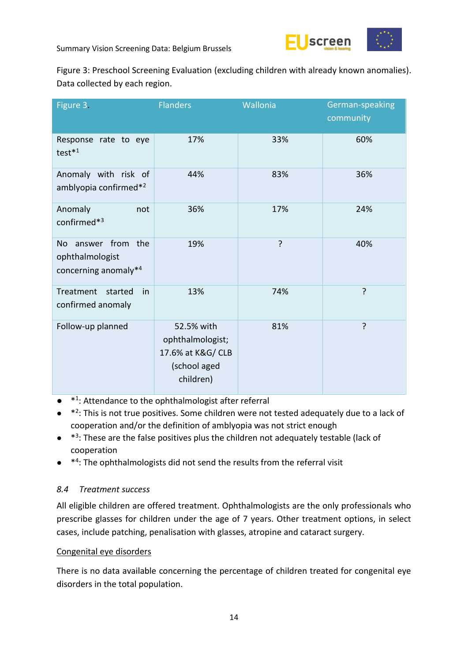

Figure 3: Preschool Screening Evaluation (excluding children with already known anomalies). Data collected by each region.

| Figure 3.                                                                           | <b>Flanders</b>                                                                  | Wallonia | German-speaking<br>community |
|-------------------------------------------------------------------------------------|----------------------------------------------------------------------------------|----------|------------------------------|
| Response rate to eye<br>test <sup>*1</sup>                                          | 17%                                                                              | 33%      | 60%                          |
| Anomaly with risk of<br>amblyopia confirmed* <sup>2</sup>                           | 44%                                                                              | 83%      | 36%                          |
| Anomaly<br>not<br>confirmed* <sup>3</sup>                                           | 36%                                                                              | 17%      | 24%                          |
| answer from the<br><b>No</b><br>ophthalmologist<br>concerning anomaly* <sup>4</sup> | 19%                                                                              | ?        | 40%                          |
| Treatment<br>started<br>in<br>confirmed anomaly                                     | 13%                                                                              | 74%      | ?                            |
| Follow-up planned                                                                   | 52.5% with<br>ophthalmologist;<br>17.6% at K&G/ CLB<br>(school aged<br>children) | 81%      | ?                            |

- $*1$ : Attendance to the ophthalmologist after referral
- <sup>\*2</sup>: This is not true positives. Some children were not tested adequately due to a lack of cooperation and/or the definition of amblyopia was not strict enough
- <sup>\*3</sup>: These are the false positives plus the children not adequately testable (lack of cooperation
- <sup>\*4</sup>: The ophthalmologists did not send the results from the referral visit

# <span id="page-19-0"></span>*8.4 Treatment success*

All eligible children are offered treatment. Ophthalmologists are the only professionals who prescribe glasses for children under the age of 7 years. Other treatment options, in select cases, include patching, penalisation with glasses, atropine and cataract surgery.

# Congenital eye disorders

There is no data available concerning the percentage of children treated for congenital eye disorders in the total population.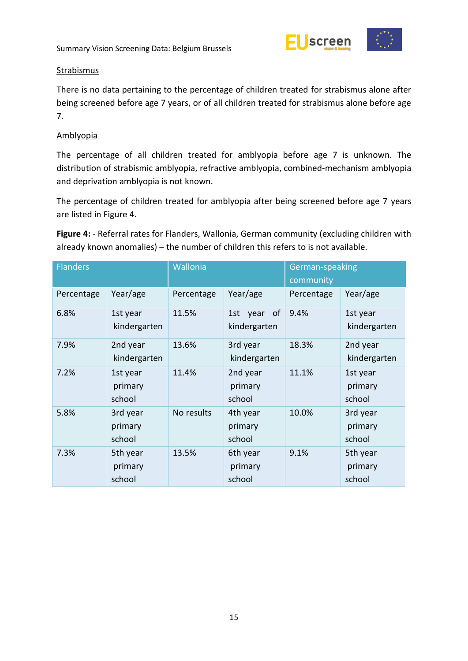

### **Strabismus**

There is no data pertaining to the percentage of children treated for strabismus alone after being screened before age 7 years, or of all children treated for strabismus alone before age 7.

### Amblyopia

The percentage of all children treated for amblyopia before age 7 is unknown. The distribution of strabismic amblyopia, refractive amblyopia, combined-mechanism amblyopia and deprivation amblyopia is not known.

The percentage of children treated for amblyopia after being screened before age 7 years are listed in Figure 4.

**Figure 4:** - Referral rates for Flanders, Wallonia, German community (excluding children with already known anomalies) – the number of children this refers to is not available.

| <b>Flanders</b> |                               | Wallonia   |                               | German-speaking<br>community |                               |  |
|-----------------|-------------------------------|------------|-------------------------------|------------------------------|-------------------------------|--|
| Percentage      | Year/age                      | Percentage | Year/age                      | Percentage                   | Year/age                      |  |
| 6.8%            | 1st year<br>kindergarten      | 11.5%      | 1st year of<br>kindergarten   | 9.4%                         | 1st year<br>kindergarten      |  |
| 7.9%            | 2nd year<br>kindergarten      | 13.6%      | 3rd year<br>kindergarten      | 18.3%                        | 2nd year<br>kindergarten      |  |
| 7.2%            | 1st year<br>primary<br>school | 11.4%      | 2nd year<br>primary<br>school | 11.1%                        | 1st year<br>primary<br>school |  |
| 5.8%            | 3rd year<br>primary<br>school | No results | 4th year<br>primary<br>school | 10.0%                        | 3rd year<br>primary<br>school |  |
| 7.3%            | 5th year<br>primary<br>school | 13.5%      | 6th year<br>primary<br>school | 9.1%                         | 5th year<br>primary<br>school |  |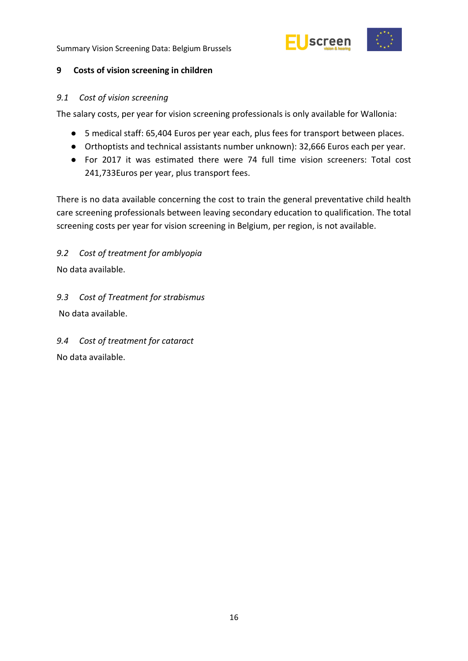

# <span id="page-21-0"></span>**9 Costs of vision screening in children**

# <span id="page-21-1"></span>*9.1 Cost of vision screening*

The salary costs, per year for vision screening professionals is only available for Wallonia:

- 5 medical staff: 65,404 Euros per year each, plus fees for transport between places.
- Orthoptists and technical assistants number unknown): 32,666 Euros each per year.
- For 2017 it was estimated there were 74 full time vision screeners: Total cost 241,733Euros per year, plus transport fees.

There is no data available concerning the cost to train the general preventative child health care screening professionals between leaving secondary education to qualification. The total screening costs per year for vision screening in Belgium, per region, is not available.

<span id="page-21-2"></span>*9.2 Cost of treatment for amblyopia*

No data available.

<span id="page-21-3"></span>*9.3 Cost of Treatment for strabismus*  No data available.

<span id="page-21-4"></span>*9.4 Cost of treatment for cataract* No data available.